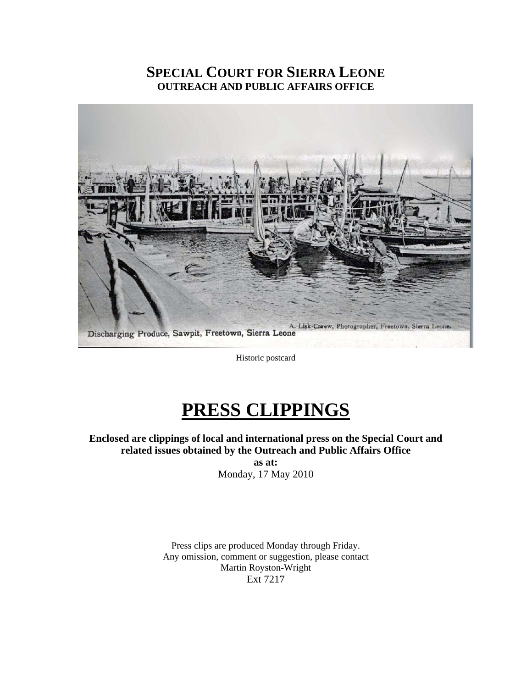# **SPECIAL COURT FOR SIERRA LEONE OUTREACH AND PUBLIC AFFAIRS OFFICE**



Historic postcard

# **PRESS CLIPPINGS**

**Enclosed are clippings of local and international press on the Special Court and related issues obtained by the Outreach and Public Affairs Office as at:** 

Monday, 17 May 2010

Press clips are produced Monday through Friday. Any omission, comment or suggestion, please contact Martin Royston-Wright Ext 7217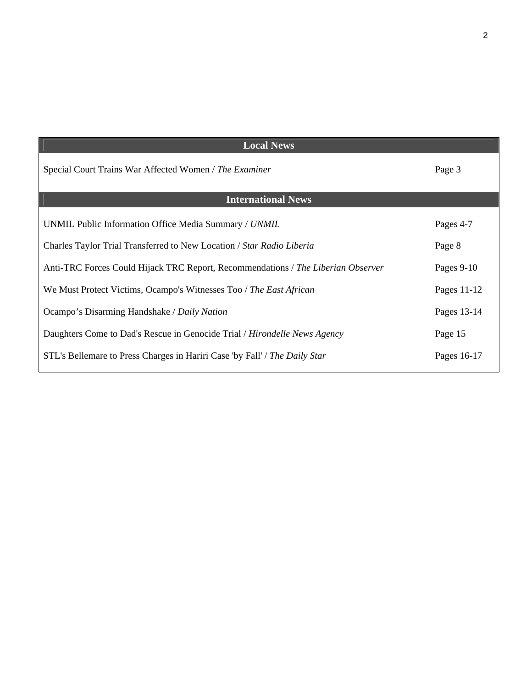| <b>Local News</b>                                                                |              |
|----------------------------------------------------------------------------------|--------------|
| Special Court Trains War Affected Women / The Examiner                           | Page 3       |
| <b>International News</b>                                                        |              |
| UNMIL Public Information Office Media Summary / UNMIL                            | Pages 4-7    |
| Charles Taylor Trial Transferred to New Location / Star Radio Liberia            | Page 8       |
| Anti-TRC Forces Could Hijack TRC Report, Recommendations / The Liberian Observer | Pages $9-10$ |
| We Must Protect Victims, Ocampo's Witnesses Too / The East African               | Pages 11-12  |
| Ocampo's Disarming Handshake / Daily Nation                                      | Pages 13-14  |
| Daughters Come to Dad's Rescue in Genocide Trial / Hirondelle News Agency        | Page 15      |
| STL's Bellemare to Press Charges in Hariri Case 'by Fall' / The Daily Star       | Pages 16-17  |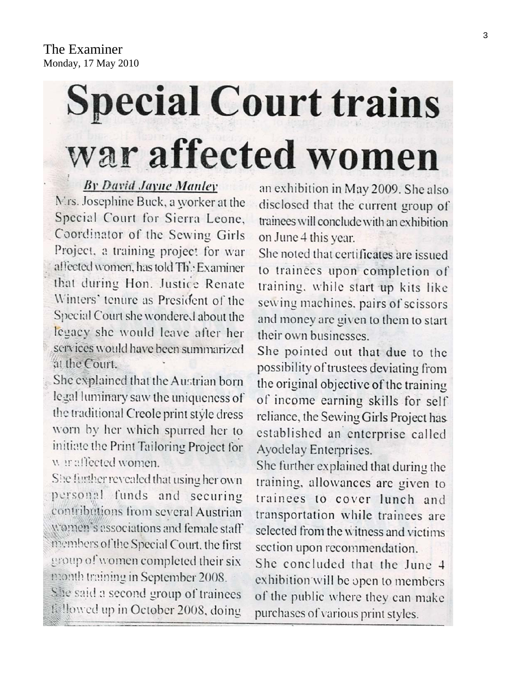# **Special Court trains** war affected women

# **By David Jayne Manley**

Mrs. Josephine Buck, a worker at the Special Court for Sierra Leone, Coordinator of the Sewing Girls Project, a training project for war affected women, has told The Examiner that during Hon. Justice Renate Winters' tenure as President of the Special Court she wondered about the legacy she would leave after her scrvices would have been summarized at the Court.

She explained that the Austrian born legal luminary saw the uniqueness of the traditional Creole print style dress worn by her which spurred her to initiate the Print Tailoring Project for war affected women.

She further revealed that using her own personal funds and securing contributions from several Austrian women's associations and female staff members of the Special Court, the first group of women completed their six month training in September 2008.

She said a second group of trainees fillowed up in October 2008, doing

an exhibition in May 2009. She also disclosed that the current group of trainees will conclude with an exhibition on June 4 this year.

She noted that certificates are issued to trainees upon completion of training, while start up kits like sewing machines, pairs of scissors and money are given to them to start their own businesses

She pointed out that due to the possibility of trustees deviating from the original objective of the training of income earning skills for self reliance, the Sewing Girls Project has established an enterprise called Ayodelay Enterprises.

She further explained that during the training, allowances are given to trainees to cover lunch and transportation while trainees are selected from the witness and victims section upon recommendation.

She concluded that the June 4 exhibition will be open to members of the public where they can make purchases of various print styles.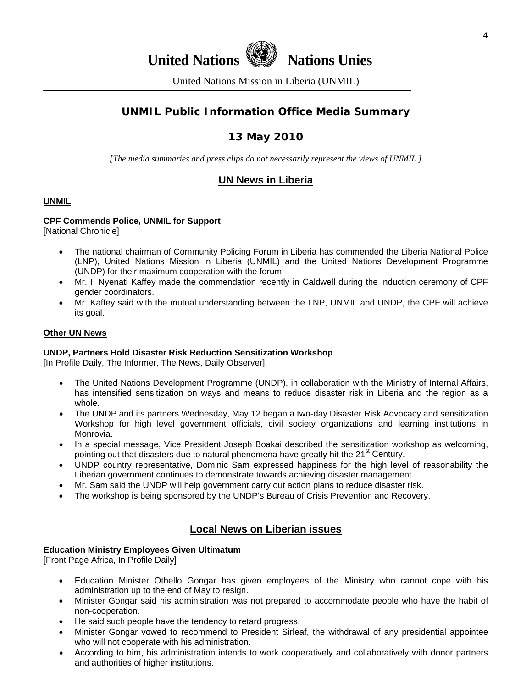4

**United Nations Nations Unies** 

United Nations Mission in Liberia (UNMIL)

# **UNMIL Public Information Office Media Summary**

# **13 May 2010**

*[The media summaries and press clips do not necessarily represent the views of UNMIL.]* 

# **UN News in Liberia**

#### **UNMIL**

# **CPF Commends Police, UNMIL for Support**

[National Chronicle]

- The national chairman of Community Policing Forum in Liberia has commended the Liberia National Police (LNP), United Nations Mission in Liberia (UNMIL) and the United Nations Development Programme (UNDP) for their maximum cooperation with the forum.
- Mr. I. Nyenati Kaffey made the commendation recently in Caldwell during the induction ceremony of CPF gender coordinators.
- Mr. Kaffey said with the mutual understanding between the LNP, UNMIL and UNDP, the CPF will achieve its goal.

#### **Other UN News**

#### **UNDP, Partners Hold Disaster Risk Reduction Sensitization Workshop**

[In Profile Daily, The Informer, The News, Daily Observer]

- The United Nations Development Programme (UNDP), in collaboration with the Ministry of Internal Affairs, has intensified sensitization on ways and means to reduce disaster risk in Liberia and the region as a whole.
- The UNDP and its partners Wednesday, May 12 began a two-day Disaster Risk Advocacy and sensitization Workshop for high level government officials, civil society organizations and learning institutions in Monrovia.
- In a special message, Vice President Joseph Boakai described the sensitization workshop as welcoming, pointing out that disasters due to natural phenomena have greatly hit the 21<sup>st</sup> Century.
- UNDP country representative, Dominic Sam expressed happiness for the high level of reasonability the Liberian government continues to demonstrate towards achieving disaster management.
- Mr. Sam said the UNDP will help government carry out action plans to reduce disaster risk.
- The workshop is being sponsored by the UNDP's Bureau of Crisis Prevention and Recovery.

# **Local News on Liberian issues**

#### **Education Ministry Employees Given Ultimatum**

[Front Page Africa, In Profile Daily]

- Education Minister Othello Gongar has given employees of the Ministry who cannot cope with his administration up to the end of May to resign.
- Minister Gongar said his administration was not prepared to accommodate people who have the habit of non-cooperation.
- He said such people have the tendency to retard progress.
- Minister Gongar vowed to recommend to President Sirleaf, the withdrawal of any presidential appointee who will not cooperate with his administration.
- According to him, his administration intends to work cooperatively and collaboratively with donor partners and authorities of higher institutions.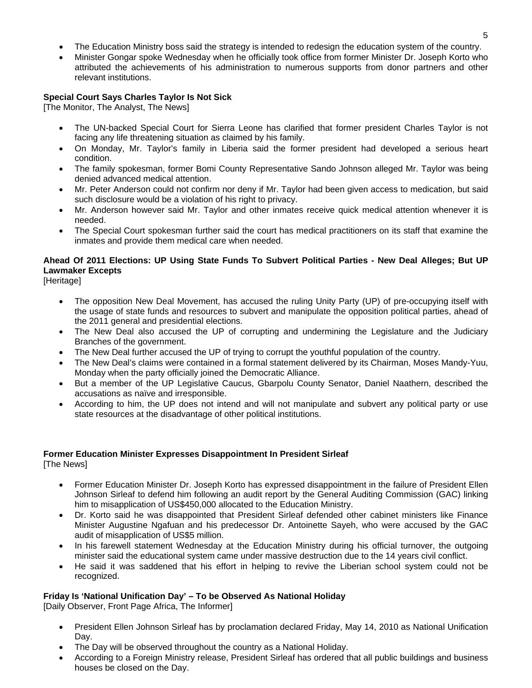- The Education Ministry boss said the strategy is intended to redesign the education system of the country.
- Minister Gongar spoke Wednesday when he officially took office from former Minister Dr. Joseph Korto who attributed the achievements of his administration to numerous supports from donor partners and other relevant institutions.

#### **Special Court Says Charles Taylor Is Not Sick**

[The Monitor, The Analyst, The News]

- The UN-backed Special Court for Sierra Leone has clarified that former president Charles Taylor is not facing any life threatening situation as claimed by his family.
- On Monday, Mr. Taylor's family in Liberia said the former president had developed a serious heart condition.
- The family spokesman, former Bomi County Representative Sando Johnson alleged Mr. Taylor was being denied advanced medical attention.
- Mr. Peter Anderson could not confirm nor deny if Mr. Taylor had been given access to medication, but said such disclosure would be a violation of his right to privacy.
- Mr. Anderson however said Mr. Taylor and other inmates receive quick medical attention whenever it is needed.
- The Special Court spokesman further said the court has medical practitioners on its staff that examine the inmates and provide them medical care when needed.

# **Ahead Of 2011 Elections: UP Using State Funds To Subvert Political Parties - New Deal Alleges; But UP Lawmaker Excepts**

[Heritage]

- The opposition New Deal Movement, has accused the ruling Unity Party (UP) of pre-occupying itself with the usage of state funds and resources to subvert and manipulate the opposition political parties, ahead of the 2011 general and presidential elections.
- The New Deal also accused the UP of corrupting and undermining the Legislature and the Judiciary Branches of the government.
- The New Deal further accused the UP of trying to corrupt the youthful population of the country.
- The New Deal's claims were contained in a formal statement delivered by its Chairman, Moses Mandy-Yuu, Monday when the party officially joined the Democratic Alliance.
- But a member of the UP Legislative Caucus, Gbarpolu County Senator, Daniel Naathern, described the accusations as naïve and irresponsible.
- According to him, the UP does not intend and will not manipulate and subvert any political party or use state resources at the disadvantage of other political institutions.

# **Former Education Minister Expresses Disappointment In President Sirleaf**

[The News]

- Former Education Minister Dr. Joseph Korto has expressed disappointment in the failure of President Ellen Johnson Sirleaf to defend him following an audit report by the General Auditing Commission (GAC) linking him to misapplication of US\$450,000 allocated to the Education Ministry.
- Dr. Korto said he was disappointed that President Sirleaf defended other cabinet ministers like Finance Minister Augustine Ngafuan and his predecessor Dr. Antoinette Sayeh, who were accused by the GAC audit of misapplication of US\$5 million.
- In his farewell statement Wednesday at the Education Ministry during his official turnover, the outgoing minister said the educational system came under massive destruction due to the 14 years civil conflict.
- He said it was saddened that his effort in helping to revive the Liberian school system could not be recognized.

#### **Friday Is 'National Unification Day' – To be Observed As National Holiday**

[Daily Observer, Front Page Africa, The Informer]

- President Ellen Johnson Sirleaf has by proclamation declared Friday, May 14, 2010 as National Unification Day.
- The Day will be observed throughout the country as a National Holiday.
- According to a Foreign Ministry release, President Sirleaf has ordered that all public buildings and business houses be closed on the Day.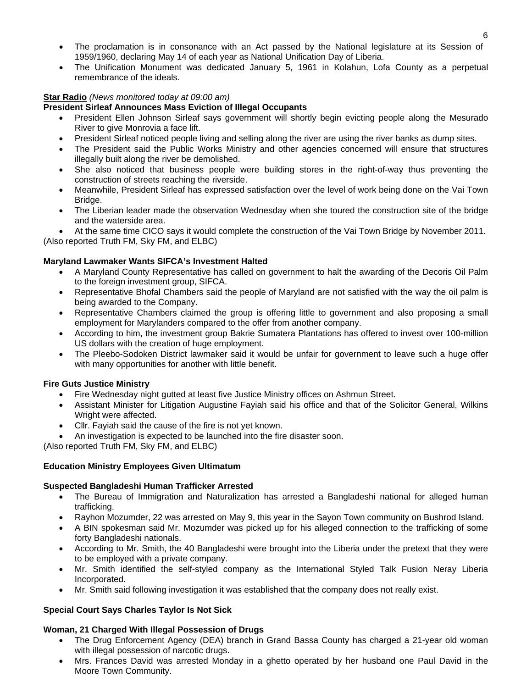- The proclamation is in consonance with an Act passed by the National legislature at its Session of 1959/1960, declaring May 14 of each year as National Unification Day of Liberia.
- The Unification Monument was dedicated January 5, 1961 in Kolahun, Lofa County as a perpetual remembrance of the ideals.

#### **Star Radio** *(News monitored today at 09:00 am)*

#### **President Sirleaf Announces Mass Eviction of Illegal Occupants**

- President Ellen Johnson Sirleaf says government will shortly begin evicting people along the Mesurado River to give Monrovia a face lift.
- President Sirleaf noticed people living and selling along the river are using the river banks as dump sites.
- The President said the Public Works Ministry and other agencies concerned will ensure that structures illegally built along the river be demolished.
- She also noticed that business people were building stores in the right-of-way thus preventing the construction of streets reaching the riverside.
- Meanwhile, President Sirleaf has expressed satisfaction over the level of work being done on the Vai Town Bridge.
- The Liberian leader made the observation Wednesday when she toured the construction site of the bridge and the waterside area.
- At the same time CICO says it would complete the construction of the Vai Town Bridge by November 2011. (Also reported Truth FM, Sky FM, and ELBC)

**Maryland Lawmaker Wants SIFCA's Investment Halted** 

- A Maryland County Representative has called on government to halt the awarding of the Decoris Oil Palm to the foreign investment group, SIFCA.
- Representative Bhofal Chambers said the people of Maryland are not satisfied with the way the oil palm is being awarded to the Company.
- Representative Chambers claimed the group is offering little to government and also proposing a small employment for Marylanders compared to the offer from another company.
- According to him, the investment group Bakrie Sumatera Plantations has offered to invest over 100-million US dollars with the creation of huge employment.
- The Pleebo-Sodoken District lawmaker said it would be unfair for government to leave such a huge offer with many opportunities for another with little benefit.

#### **Fire Guts Justice Ministry**

- Fire Wednesday night gutted at least five Justice Ministry offices on Ashmun Street.
- Assistant Minister for Litigation Augustine Fayiah said his office and that of the Solicitor General, Wilkins Wright were affected.
- Cllr. Fayiah said the cause of the fire is not yet known.
- An investigation is expected to be launched into the fire disaster soon.

(Also reported Truth FM, Sky FM, and ELBC)

#### **Education Ministry Employees Given Ultimatum**

#### **Suspected Bangladeshi Human Trafficker Arrested**

- The Bureau of Immigration and Naturalization has arrested a Bangladeshi national for alleged human trafficking.
- Rayhon Mozumder, 22 was arrested on May 9, this year in the Sayon Town community on Bushrod Island.
- A BIN spokesman said Mr. Mozumder was picked up for his alleged connection to the trafficking of some forty Bangladeshi nationals.
- According to Mr. Smith, the 40 Bangladeshi were brought into the Liberia under the pretext that they were to be employed with a private company.
- Mr. Smith identified the self-styled company as the International Styled Talk Fusion Neray Liberia Incorporated.
- Mr. Smith said following investigation it was established that the company does not really exist.

#### **Special Court Says Charles Taylor Is Not Sick**

#### **Woman, 21 Charged With Illegal Possession of Drugs**

- The Drug Enforcement Agency (DEA) branch in Grand Bassa County has charged a 21-year old woman with illegal possession of narcotic drugs.
- Mrs. Frances David was arrested Monday in a ghetto operated by her husband one Paul David in the Moore Town Community.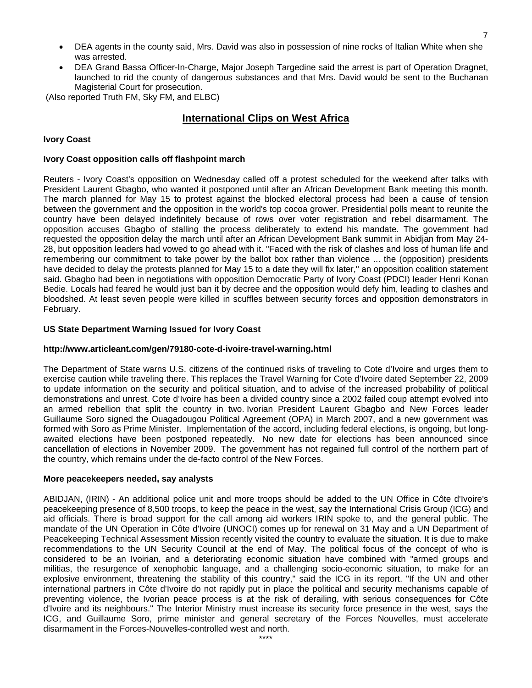- DEA agents in the county said, Mrs. David was also in possession of nine rocks of Italian White when she was arrested.
- DEA Grand Bassa Officer-In-Charge, Major Joseph Targedine said the arrest is part of Operation Dragnet, launched to rid the county of dangerous substances and that Mrs. David would be sent to the Buchanan Magisterial Court for prosecution.

(Also reported Truth FM, Sky FM, and ELBC)

# **International Clips on West Africa**

#### **Ivory Coast**

#### **Ivory Coast opposition calls off flashpoint march**

Reuters - Ivory Coast's opposition on Wednesday called off a protest scheduled for the weekend after talks with President Laurent Gbagbo, who wanted it postponed until after an African Development Bank meeting this month. The march planned for May 15 to protest against the blocked electoral process had been a cause of tension between the government and the opposition in the world's top cocoa grower. Presidential polls meant to reunite the country have been delayed indefinitely because of rows over voter registration and rebel disarmament. The opposition accuses Gbagbo of stalling the process deliberately to extend his mandate. The government had requested the opposition delay the march until after an African Development Bank summit in Abidjan from May 24- 28, but opposition leaders had vowed to go ahead with it. "Faced with the risk of clashes and loss of human life and remembering our commitment to take power by the ballot box rather than violence ... the (opposition) presidents have decided to delay the protests planned for May 15 to a date they will fix later," an opposition coalition statement said. Gbagbo had been in negotiations with opposition Democratic Party of Ivory Coast (PDCI) leader Henri Konan Bedie. Locals had feared he would just ban it by decree and the opposition would defy him, leading to clashes and bloodshed. At least seven people were killed in scuffles between security forces and opposition demonstrators in February.

#### **US State Department Warning Issued for Ivory Coast**

#### **http://www.articleant.com/gen/79180-cote-d-ivoire-travel-warning.html**

The Department of State warns U.S. citizens of the continued risks of traveling to Cote d'Ivoire and urges them to exercise caution while traveling there. This replaces the Travel Warning for Cote d'Ivoire dated September 22, 2009 to update information on the security and political situation, and to advise of the increased probability of political demonstrations and unrest. Cote d'Ivoire has been a divided country since a 2002 failed coup attempt evolved into an armed rebellion that split the country in two. Ivorian President Laurent Gbagbo and New Forces leader Guillaume Soro signed the Ouagadougou Political Agreement (OPA) in March 2007, and a new government was formed with Soro as Prime Minister. Implementation of the accord, including federal elections, is ongoing, but longawaited elections have been postponed repeatedly. No new date for elections has been announced since cancellation of elections in November 2009. The government has not regained full control of the northern part of the country, which remains under the de-facto control of the New Forces.

#### **More peacekeepers needed, say analysts**

ABIDJAN, (IRIN) - An additional police unit and more troops should be added to the UN Office in Côte d'Ivoire's peacekeeping presence of 8,500 troops, to keep the peace in the west, say the International Crisis Group (ICG) and aid officials. There is broad support for the call among aid workers IRIN spoke to, and the general public. The mandate of the UN Operation in Côte d'Ivoire (UNOCI) comes up for renewal on 31 May and a UN Department of Peacekeeping Technical Assessment Mission recently visited the country to evaluate the situation. It is due to make recommendations to the UN Security Council at the end of May. The political focus of the concept of who is considered to be an Ivoirian, and a deteriorating economic situation have combined with "armed groups and militias, the resurgence of xenophobic language, and a challenging socio-economic situation, to make for an explosive environment, threatening the stability of this country," said the ICG in its report. "If the UN and other international partners in Côte d'Ivoire do not rapidly put in place the political and security mechanisms capable of preventing violence, the Ivorian peace process is at the risk of derailing, with serious consequences for Côte d'Ivoire and its neighbours." The Interior Ministry must increase its security force presence in the west, says the ICG, and Guillaume Soro, prime minister and general secretary of the Forces Nouvelles, must accelerate disarmament in the Forces-Nouvelles-controlled west and north.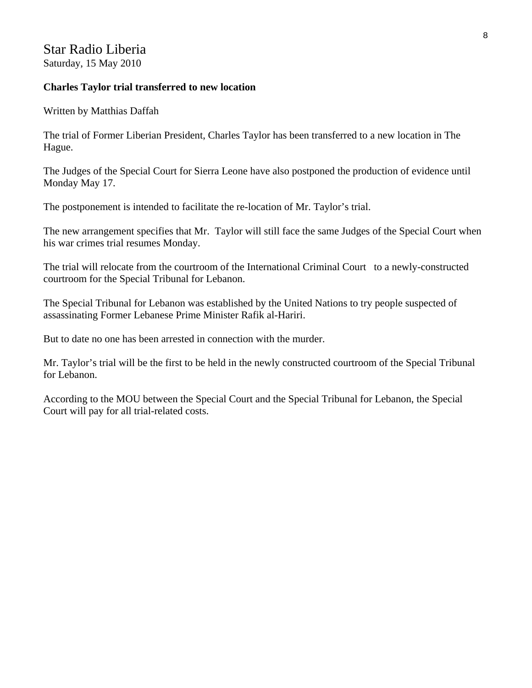# Star Radio Liberia Saturday, 15 May 2010

#### **Charles Taylor trial transferred to new location**

Written by Matthias Daffah

The trial of Former Liberian President, Charles Taylor has been transferred to a new location in The Hague.

The Judges of the Special Court for Sierra Leone have also postponed the production of evidence until Monday May 17.

The postponement is intended to facilitate the re-location of Mr. Taylor's trial.

The new arrangement specifies that Mr. Taylor will still face the same Judges of the Special Court when his war crimes trial resumes Monday.

The trial will relocate from the courtroom of the International Criminal Court to a newly-constructed courtroom for the Special Tribunal for Lebanon.

The Special Tribunal for Lebanon was established by the United Nations to try people suspected of assassinating Former Lebanese Prime Minister Rafik al-Hariri.

But to date no one has been arrested in connection with the murder.

Mr. Taylor's trial will be the first to be held in the newly constructed courtroom of the Special Tribunal for Lebanon.

According to the MOU between the Special Court and the Special Tribunal for Lebanon, the Special Court will pay for all trial-related costs.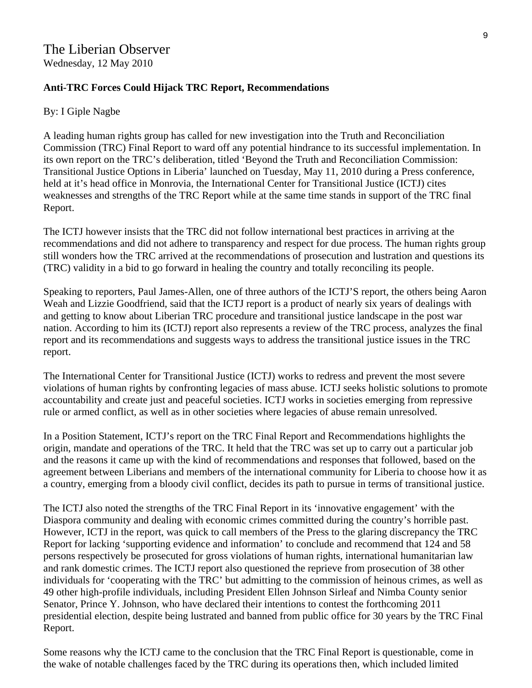# **Anti-TRC Forces Could Hijack TRC Report, Recommendations**

#### By: I Giple Nagbe

A leading human rights group has called for new investigation into the Truth and Reconciliation Commission (TRC) Final Report to ward off any potential hindrance to its successful implementation. In its own report on the TRC's deliberation, titled 'Beyond the Truth and Reconciliation Commission: Transitional Justice Options in Liberia' launched on Tuesday, May 11, 2010 during a Press conference, held at it's head office in Monrovia, the International Center for Transitional Justice (ICTJ) cites weaknesses and strengths of the TRC Report while at the same time stands in support of the TRC final Report.

The ICTJ however insists that the TRC did not follow international best practices in arriving at the recommendations and did not adhere to transparency and respect for due process. The human rights group still wonders how the TRC arrived at the recommendations of prosecution and lustration and questions its (TRC) validity in a bid to go forward in healing the country and totally reconciling its people.

Speaking to reporters, Paul James-Allen, one of three authors of the ICTJ'S report, the others being Aaron Weah and Lizzie Goodfriend, said that the ICTJ report is a product of nearly six years of dealings with and getting to know about Liberian TRC procedure and transitional justice landscape in the post war nation. According to him its (ICTJ) report also represents a review of the TRC process, analyzes the final report and its recommendations and suggests ways to address the transitional justice issues in the TRC report.

The International Center for Transitional Justice (ICTJ) works to redress and prevent the most severe violations of human rights by confronting legacies of mass abuse. ICTJ seeks holistic solutions to promote accountability and create just and peaceful societies. ICTJ works in societies emerging from repressive rule or armed conflict, as well as in other societies where legacies of abuse remain unresolved.

In a Position Statement, ICTJ's report on the TRC Final Report and Recommendations highlights the origin, mandate and operations of the TRC. It held that the TRC was set up to carry out a particular job and the reasons it came up with the kind of recommendations and responses that followed, based on the agreement between Liberians and members of the international community for Liberia to choose how it as a country, emerging from a bloody civil conflict, decides its path to pursue in terms of transitional justice.

The ICTJ also noted the strengths of the TRC Final Report in its 'innovative engagement' with the Diaspora community and dealing with economic crimes committed during the country's horrible past. However, ICTJ in the report, was quick to call members of the Press to the glaring discrepancy the TRC Report for lacking 'supporting evidence and information' to conclude and recommend that 124 and 58 persons respectively be prosecuted for gross violations of human rights, international humanitarian law and rank domestic crimes. The ICTJ report also questioned the reprieve from prosecution of 38 other individuals for 'cooperating with the TRC' but admitting to the commission of heinous crimes, as well as 49 other high-profile individuals, including President Ellen Johnson Sirleaf and Nimba County senior Senator, Prince Y. Johnson, who have declared their intentions to contest the forthcoming 2011 presidential election, despite being lustrated and banned from public office for 30 years by the TRC Final Report.

Some reasons why the ICTJ came to the conclusion that the TRC Final Report is questionable, come in the wake of notable challenges faced by the TRC during its operations then, which included limited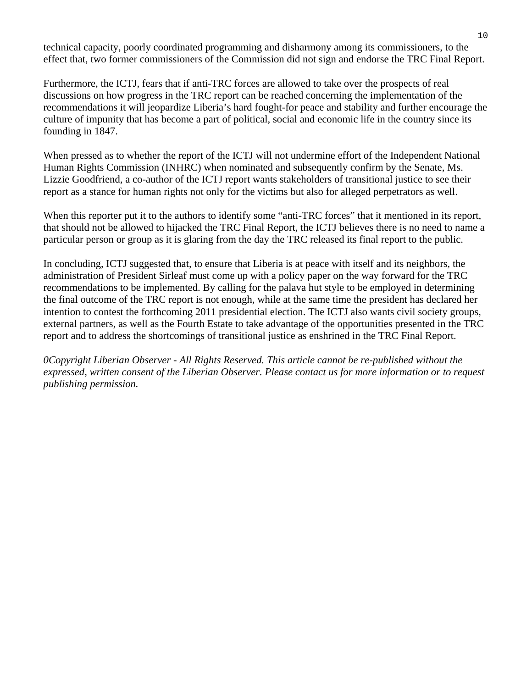technical capacity, poorly coordinated programming and disharmony among its commissioners, to the effect that, two former commissioners of the Commission did not sign and endorse the TRC Final Report.

Furthermore, the ICTJ, fears that if anti-TRC forces are allowed to take over the prospects of real discussions on how progress in the TRC report can be reached concerning the implementation of the recommendations it will jeopardize Liberia's hard fought-for peace and stability and further encourage the culture of impunity that has become a part of political, social and economic life in the country since its founding in 1847.

When pressed as to whether the report of the ICTJ will not undermine effort of the Independent National Human Rights Commission (INHRC) when nominated and subsequently confirm by the Senate, Ms. Lizzie Goodfriend, a co-author of the ICTJ report wants stakeholders of transitional justice to see their report as a stance for human rights not only for the victims but also for alleged perpetrators as well.

When this reporter put it to the authors to identify some "anti-TRC forces" that it mentioned in its report, that should not be allowed to hijacked the TRC Final Report, the ICTJ believes there is no need to name a particular person or group as it is glaring from the day the TRC released its final report to the public.

In concluding, ICTJ suggested that, to ensure that Liberia is at peace with itself and its neighbors, the administration of President Sirleaf must come up with a policy paper on the way forward for the TRC recommendations to be implemented. By calling for the palava hut style to be employed in determining the final outcome of the TRC report is not enough, while at the same time the president has declared her intention to contest the forthcoming 2011 presidential election. The ICTJ also wants civil society groups, external partners, as well as the Fourth Estate to take advantage of the opportunities presented in the TRC report and to address the shortcomings of transitional justice as enshrined in the TRC Final Report.

*0Copyright Liberian Observer - All Rights Reserved. This article cannot be re-published without the expressed, written consent of the Liberian Observer. Please [contact us](http://liberianobserver.com/contact) for more information or to request publishing permission.*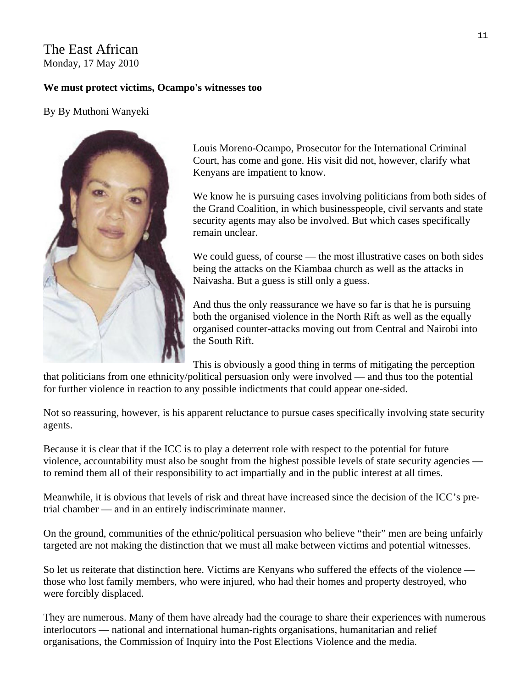# The East African Monday, 17 May 2010

# **We must protect victims, Ocampo's witnesses too**

# By By Muthoni Wanyeki



Louis Moreno-Ocampo, Prosecutor for the International Criminal Court, has come and gone. His visit did not, however, clarify what Kenyans are impatient to know.

We know he is pursuing cases involving politicians from both sides of the Grand Coalition, in which businesspeople, civil servants and state security agents may also be involved. But which cases specifically remain unclear.

We could guess, of course — the most illustrative cases on both sides being the attacks on the Kiambaa church as well as the attacks in Naivasha. But a guess is still only a guess.

And thus the only reassurance we have so far is that he is pursuing both the organised violence in the North Rift as well as the equally organised counter-attacks moving out from Central and Nairobi into the South Rift.

This is obviously a good thing in terms of mitigating the perception

that politicians from one ethnicity/political persuasion only were involved — and thus too the potential for further violence in reaction to any possible indictments that could appear one-sided.

Not so reassuring, however, is his apparent reluctance to pursue cases specifically involving state security agents.

Because it is clear that if the ICC is to play a deterrent role with respect to the potential for future violence, accountability must also be sought from the highest possible levels of state security agencies to remind them all of their responsibility to act impartially and in the public interest at all times.

Meanwhile, it is obvious that levels of risk and threat have increased since the decision of the ICC's pretrial chamber — and in an entirely indiscriminate manner.

On the ground, communities of the ethnic/political persuasion who believe "their" men are being unfairly targeted are not making the distinction that we must all make between victims and potential witnesses.

So let us reiterate that distinction here. Victims are Kenyans who suffered the effects of the violence those who lost family members, who were injured, who had their homes and property destroyed, who were forcibly displaced.

They are numerous. Many of them have already had the courage to share their experiences with numerous interlocutors — national and international human-rights organisations, humanitarian and relief organisations, the Commission of Inquiry into the Post Elections Violence and the media.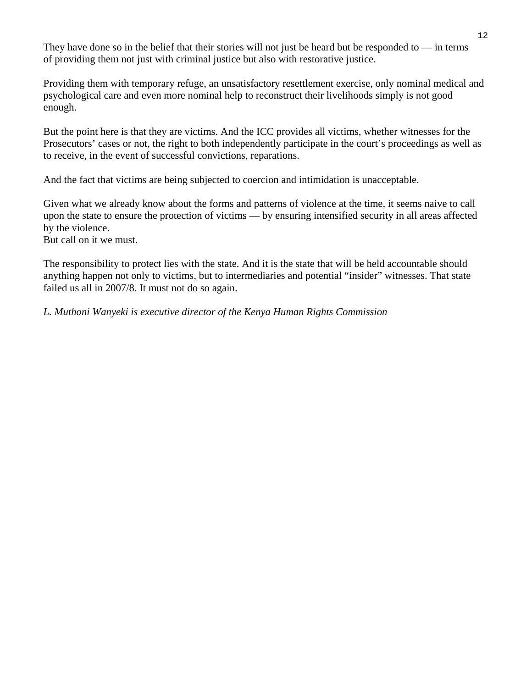They have done so in the belief that their stories will not just be heard but be responded to — in terms of providing them not just with criminal justice but also with restorative justice.

Providing them with temporary refuge, an unsatisfactory resettlement exercise, only nominal medical and psychological care and even more nominal help to reconstruct their livelihoods simply is not good enough.

But the point here is that they are victims. And the ICC provides all victims, whether witnesses for the Prosecutors' cases or not, the right to both independently participate in the court's proceedings as well as to receive, in the event of successful convictions, reparations.

And the fact that victims are being subjected to coercion and intimidation is unacceptable.

Given what we already know about the forms and patterns of violence at the time, it seems naive to call upon the state to ensure the protection of victims — by ensuring intensified security in all areas affected by the violence.

But call on it we must.

The responsibility to protect lies with the state. And it is the state that will be held accountable should anything happen not only to victims, but to intermediaries and potential "insider" witnesses. That state failed us all in 2007/8. It must not do so again.

*L. Muthoni Wanyeki is executive director of the Kenya Human Rights Commission*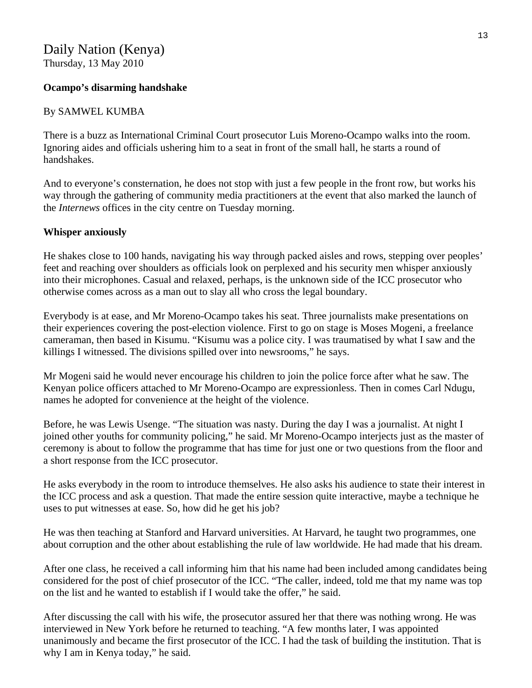# Daily Nation (Kenya)

Thursday, 13 May 2010

# **Ocampo's disarming handshake**

# By SAMWEL KUMBA

There is a buzz as International Criminal Court prosecutor Luis Moreno-Ocampo walks into the room. Ignoring aides and officials ushering him to a seat in front of the small hall, he starts a round of handshakes.

And to everyone's consternation, he does not stop with just a few people in the front row, but works his way through the gathering of community media practitioners at the event that also marked the launch of the *Internews* offices in the city centre on Tuesday morning.

# **Whisper anxiously**

He shakes close to 100 hands, navigating his way through packed aisles and rows, stepping over peoples' feet and reaching over shoulders as officials look on perplexed and his security men whisper anxiously into their microphones. Casual and relaxed, perhaps, is the unknown side of the ICC prosecutor who otherwise comes across as a man out to slay all who cross the legal boundary.

Everybody is at ease, and Mr Moreno-Ocampo takes his seat. Three journalists make presentations on their experiences covering the post-election violence. First to go on stage is Moses Mogeni, a freelance cameraman, then based in Kisumu. "Kisumu was a police city. I was traumatised by what I saw and the killings I witnessed. The divisions spilled over into newsrooms," he says.

Mr Mogeni said he would never encourage his children to join the police force after what he saw. The Kenyan police officers attached to Mr Moreno-Ocampo are expressionless. Then in comes Carl Ndugu, names he adopted for convenience at the height of the violence.

Before, he was Lewis Usenge. "The situation was nasty. During the day I was a journalist. At night I joined other youths for community policing," he said. Mr Moreno-Ocampo interjects just as the master of ceremony is about to follow the programme that has time for just one or two questions from the floor and a short response from the ICC prosecutor.

He asks everybody in the room to introduce themselves. He also asks his audience to state their interest in the ICC process and ask a question. That made the entire session quite interactive, maybe a technique he uses to put witnesses at ease. So, how did he get his job?

He was then teaching at Stanford and Harvard universities. At Harvard, he taught two programmes, one about corruption and the other about establishing the rule of law worldwide. He had made that his dream.

After one class, he received a call informing him that his name had been included among candidates being considered for the post of chief prosecutor of the ICC. "The caller, indeed, told me that my name was top on the list and he wanted to establish if I would take the offer," he said.

After discussing the call with his wife, the prosecutor assured her that there was nothing wrong. He was interviewed in New York before he returned to teaching. "A few months later, I was appointed unanimously and became the first prosecutor of the ICC. I had the task of building the institution. That is why I am in Kenya today," he said.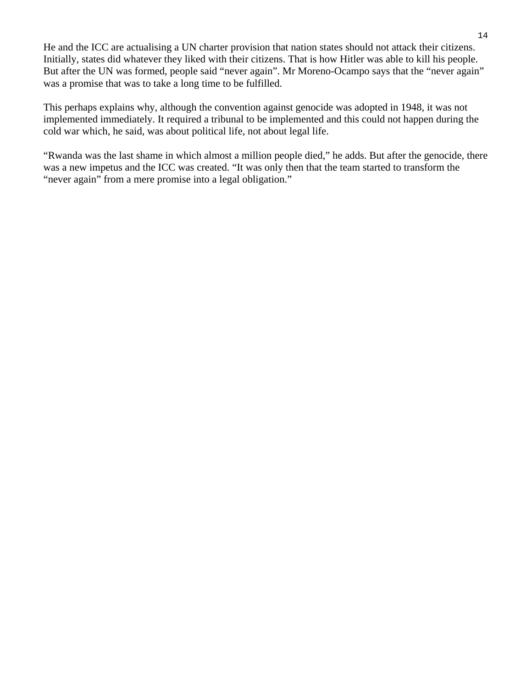He and the ICC are actualising a UN charter provision that nation states should not attack their citizens. Initially, states did whatever they liked with their citizens. That is how Hitler was able to kill his people. But after the UN was formed, people said "never again". Mr Moreno-Ocampo says that the "never again" was a promise that was to take a long time to be fulfilled.

This perhaps explains why, although the convention against genocide was adopted in 1948, it was not implemented immediately. It required a tribunal to be implemented and this could not happen during the cold war which, he said, was about political life, not about legal life.

"Rwanda was the last shame in which almost a million people died," he adds. But after the genocide, there was a new impetus and the ICC was created. "It was only then that the team started to transform the "never again" from a mere promise into a legal obligation."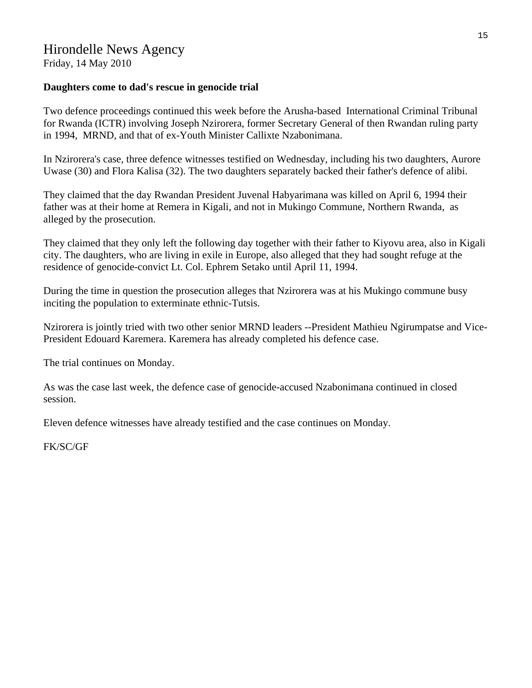#### **Daughters come to dad's rescue in genocide trial**

Two defence proceedings continued this week before the Arusha-based International Criminal Tribunal for Rwanda (ICTR) involving Joseph Nzirorera, former Secretary General of then Rwandan ruling party in 1994, MRND, and that of ex-Youth Minister Callixte Nzabonimana.

In Nzirorera's case, three defence witnesses testified on Wednesday, including his two daughters, Aurore Uwase (30) and Flora Kalisa (32). The two daughters separately backed their father's defence of alibi.

They claimed that the day Rwandan President Juvenal Habyarimana was killed on April 6, 1994 their father was at their home at Remera in Kigali, and not in Mukingo Commune, Northern Rwanda, as alleged by the prosecution.

They claimed that they only left the following day together with their father to Kiyovu area, also in Kigali city. The daughters, who are living in exile in Europe, also alleged that they had sought refuge at the residence of genocide-convict Lt. Col. Ephrem Setako until April 11, 1994.

During the time in question the prosecution alleges that Nzirorera was at his Mukingo commune busy inciting the population to exterminate ethnic-Tutsis.

Nzirorera is jointly tried with two other senior MRND leaders --President Mathieu Ngirumpatse and Vice-President Edouard Karemera. Karemera has already completed his defence case.

The trial continues on Monday.

As was the case last week, the defence case of genocide-accused Nzabonimana continued in closed session.

Eleven defence witnesses have already testified and the case continues on Monday.

FK/SC/GF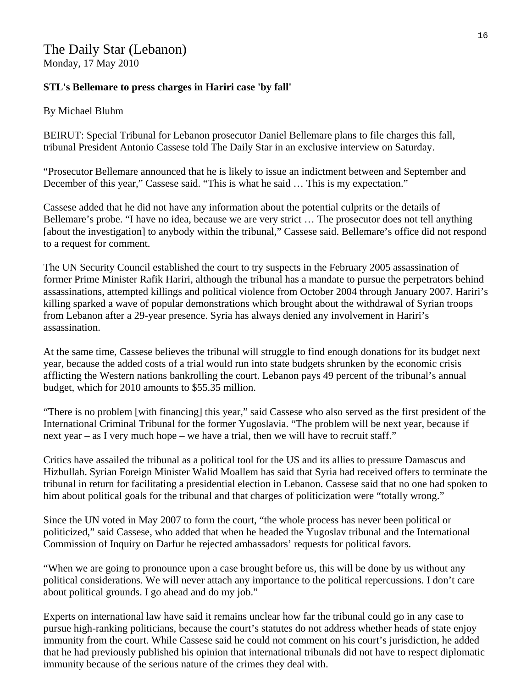# **STL's Bellemare to press charges in Hariri case 'by fall'**

#### By Michael Bluhm

BEIRUT: Special Tribunal for Lebanon prosecutor Daniel Bellemare plans to file charges this fall, tribunal President Antonio Cassese told The Daily Star in an exclusive interview on Saturday.

"Prosecutor Bellemare announced that he is likely to issue an indictment between and September and December of this year," Cassese said. "This is what he said … This is my expectation."

Cassese added that he did not have any information about the potential culprits or the details of Bellemare's probe. "I have no idea, because we are very strict … The prosecutor does not tell anything [about the investigation] to anybody within the tribunal," Cassese said. Bellemare's office did not respond to a request for comment.

The UN Security Council established the court to try suspects in the February 2005 assassination of former Prime Minister Rafik Hariri, although the tribunal has a mandate to pursue the perpetrators behind assassinations, attempted killings and political violence from October 2004 through January 2007. Hariri's killing sparked a wave of popular demonstrations which brought about the withdrawal of Syrian troops from Lebanon after a 29-year presence. Syria has always denied any involvement in Hariri's assassination.

At the same time, Cassese believes the tribunal will struggle to find enough donations for its budget next year, because the added costs of a trial would run into state budgets shrunken by the economic crisis afflicting the Western nations bankrolling the court. Lebanon pays 49 percent of the tribunal's annual budget, which for 2010 amounts to \$55.35 million.

"There is no problem [with financing] this year," said Cassese who also served as the first president of the International Criminal Tribunal for the former Yugoslavia. "The problem will be next year, because if next year – as I very much hope – we have a trial, then we will have to recruit staff."

Critics have assailed the tribunal as a political tool for the US and its allies to pressure Damascus and Hizbullah. Syrian Foreign Minister Walid Moallem has said that Syria had received offers to terminate the tribunal in return for facilitating a presidential election in Lebanon. Cassese said that no one had spoken to him about political goals for the tribunal and that charges of politicization were "totally wrong."

Since the UN voted in May 2007 to form the court, "the whole process has never been political or politicized," said Cassese, who added that when he headed the Yugoslav tribunal and the International Commission of Inquiry on Darfur he rejected ambassadors' requests for political favors.

"When we are going to pronounce upon a case brought before us, this will be done by us without any political considerations. We will never attach any importance to the political repercussions. I don't care about political grounds. I go ahead and do my job."

Experts on international law have said it remains unclear how far the tribunal could go in any case to pursue high-ranking politicians, because the court's statutes do not address whether heads of state enjoy immunity from the court. While Cassese said he could not comment on his court's jurisdiction, he added that he had previously published his opinion that international tribunals did not have to respect diplomatic immunity because of the serious nature of the crimes they deal with.